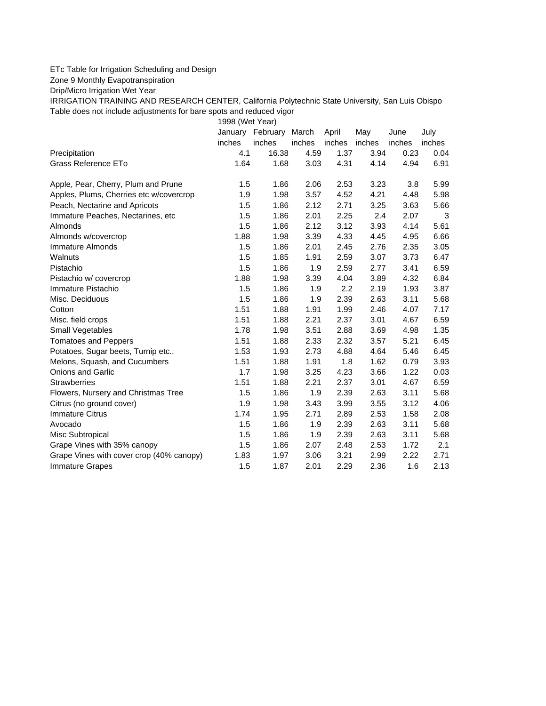## ETc Table for Irrigation Scheduling and Design

Zone 9 Monthly Evapotranspiration

Drip/Micro Irrigation Wet Year

IRRIGATION TRAINING AND RESEARCH CENTER, California Polytechnic State University, San Luis Obispo Table does not include adjustments for bare spots and reduced vigor

1998 (Wet Year)

|                                          | January | February | March  | April  | May    | June   | July   |
|------------------------------------------|---------|----------|--------|--------|--------|--------|--------|
|                                          | inches  | inches   | inches | inches | inches | inches | inches |
| Precipitation                            | 4.1     | 16.38    | 4.59   | 1.37   | 3.94   | 0.23   | 0.04   |
| Grass Reference ETo                      | 1.64    | 1.68     | 3.03   | 4.31   | 4.14   | 4.94   | 6.91   |
| Apple, Pear, Cherry, Plum and Prune      | 1.5     | 1.86     | 2.06   | 2.53   | 3.23   | 3.8    | 5.99   |
| Apples, Plums, Cherries etc w/covercrop  | 1.9     | 1.98     | 3.57   | 4.52   | 4.21   | 4.48   | 5.98   |
| Peach, Nectarine and Apricots            | 1.5     | 1.86     | 2.12   | 2.71   | 3.25   | 3.63   | 5.66   |
| Immature Peaches, Nectarines, etc        | 1.5     | 1.86     | 2.01   | 2.25   | 2.4    | 2.07   | 3      |
| Almonds                                  | 1.5     | 1.86     | 2.12   | 3.12   | 3.93   | 4.14   | 5.61   |
| Almonds w/covercrop                      | 1.88    | 1.98     | 3.39   | 4.33   | 4.45   | 4.95   | 6.66   |
| Immature Almonds                         | 1.5     | 1.86     | 2.01   | 2.45   | 2.76   | 2.35   | 3.05   |
| Walnuts                                  | 1.5     | 1.85     | 1.91   | 2.59   | 3.07   | 3.73   | 6.47   |
| Pistachio                                | 1.5     | 1.86     | 1.9    | 2.59   | 2.77   | 3.41   | 6.59   |
| Pistachio w/ covercrop                   | 1.88    | 1.98     | 3.39   | 4.04   | 3.89   | 4.32   | 6.84   |
| Immature Pistachio                       | 1.5     | 1.86     | 1.9    | 2.2    | 2.19   | 1.93   | 3.87   |
| Misc. Deciduous                          | 1.5     | 1.86     | 1.9    | 2.39   | 2.63   | 3.11   | 5.68   |
| Cotton                                   | 1.51    | 1.88     | 1.91   | 1.99   | 2.46   | 4.07   | 7.17   |
| Misc. field crops                        | 1.51    | 1.88     | 2.21   | 2.37   | 3.01   | 4.67   | 6.59   |
| Small Vegetables                         | 1.78    | 1.98     | 3.51   | 2.88   | 3.69   | 4.98   | 1.35   |
| <b>Tomatoes and Peppers</b>              | 1.51    | 1.88     | 2.33   | 2.32   | 3.57   | 5.21   | 6.45   |
| Potatoes, Sugar beets, Turnip etc        | 1.53    | 1.93     | 2.73   | 4.88   | 4.64   | 5.46   | 6.45   |
| Melons, Squash, and Cucumbers            | 1.51    | 1.88     | 1.91   | 1.8    | 1.62   | 0.79   | 3.93   |
| <b>Onions and Garlic</b>                 | 1.7     | 1.98     | 3.25   | 4.23   | 3.66   | 1.22   | 0.03   |
| <b>Strawberries</b>                      | 1.51    | 1.88     | 2.21   | 2.37   | 3.01   | 4.67   | 6.59   |
| Flowers, Nursery and Christmas Tree      | 1.5     | 1.86     | 1.9    | 2.39   | 2.63   | 3.11   | 5.68   |
| Citrus (no ground cover)                 | 1.9     | 1.98     | 3.43   | 3.99   | 3.55   | 3.12   | 4.06   |
| <b>Immature Citrus</b>                   | 1.74    | 1.95     | 2.71   | 2.89   | 2.53   | 1.58   | 2.08   |
| Avocado                                  | 1.5     | 1.86     | 1.9    | 2.39   | 2.63   | 3.11   | 5.68   |
| Misc Subtropical                         | 1.5     | 1.86     | 1.9    | 2.39   | 2.63   | 3.11   | 5.68   |
| Grape Vines with 35% canopy              | 1.5     | 1.86     | 2.07   | 2.48   | 2.53   | 1.72   | 2.1    |
| Grape Vines with cover crop (40% canopy) | 1.83    | 1.97     | 3.06   | 3.21   | 2.99   | 2.22   | 2.71   |
| <b>Immature Grapes</b>                   | 1.5     | 1.87     | 2.01   | 2.29   | 2.36   | 1.6    | 2.13   |